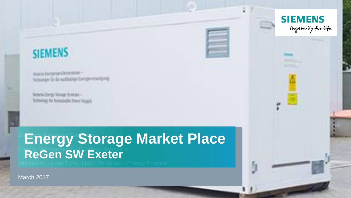

Source Dempty of Antoniums -<br>System for the band full type Dempty energy and

Seneral Darry Hompi Scoreda -<br>Technikan for Sonanagin Power Supply

**Energy Storage Market Place ReGen SW Exeter** 

March 2017

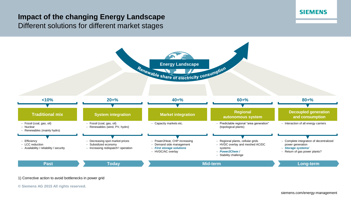# **Impact of the changing Energy Landscape** Different solutions for different market stages



#### 1) Corrective action to avoid bottlenecks in power grid

**© Siemens AG 2015 All rights reserved.**

#### **SIEMENS**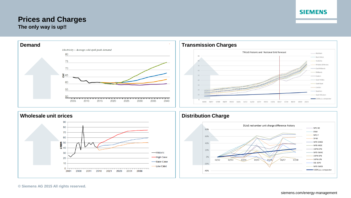# **Prices and Charges**









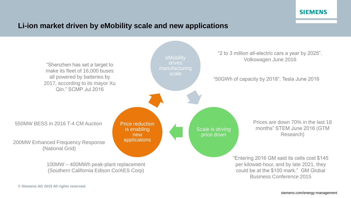# **Li-ion market driven by eMobility scale and new applications**

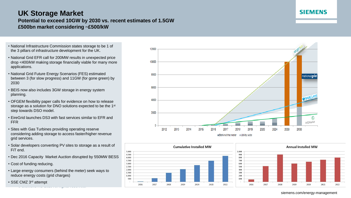# **UK Storage Market**

#### **Potential to exceed 10GW by 2030 vs. recent estimates of 1.5GW £500bn market considering ~£500/kW**

- National Infrastructure Commission states storage to be 1 of the 3 pillars of infrastructure development for the UK.
- National Grid EFR call for 200MW results in unexpected price drop <400/kW making storage financially viable for many more applications.
- National Grid Future Energy Scenarios (FES) estimated between 3 (for slow progress) and 11GW (for gone green) by 2030
- BEIS now also includes 3GW storage in energy system planning.
- OFGEM flexibility paper calls for evidence on how to release storage as a solution for DNO solutions expected to be the 1<sup>st</sup> step towards DSO model.
- EireGrid launches DS3 with fast services similar to EFR and FFR
- Sites with Gas Turbines providing operating reserve considering adding storage to access faster/higher revenue grid services.
- Solar developers converting PV sites to storage as a result of FiT end.
- Dec 2016 Capacity Market Auction disrupted by 550MW BESS
- Cost of funding reducing.
- Large energy consumers (behind the meter) seek ways to reduce energy costs (grid charges)

**© Siemens AG 2015 All rights reserved.**

• SSE CMZ 3rd attempt







# **SIEMENS**

siemens.com/energy-management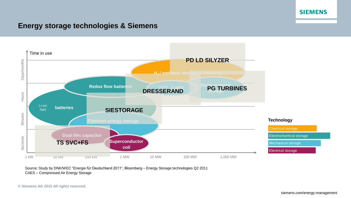# **Energy storage technologies & Siemens**



Source: Study by DNK/WEC "Energie für Deutschland 2011", Bloomberg – Energy Storage technologies Q2 2011 CAES – Compressed Air Energy Storage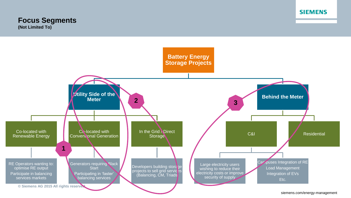# **Focus Segments**

**(Not Limited To)**

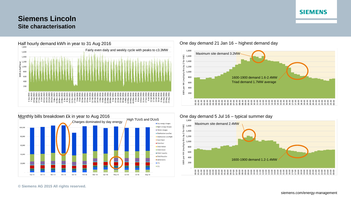# **Siemens Lincoln Site characterisation**





#### One day demand 21 Jan 16 – highest demand day



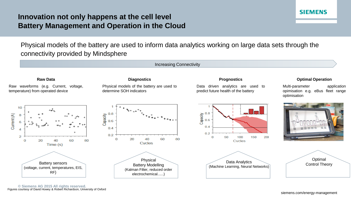# **Innovation not only happens at the cell level Battery Management and Operation in the Cloud**

Physical models of the battery are used to inform data analytics working on large data sets through the connectivity provided by Mindsphere



**SIEMENS**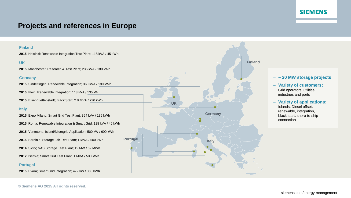# **Projects and references in Europe**